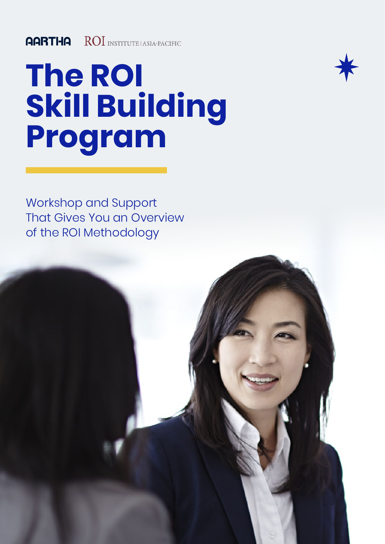# **The ROI Skill Building Program**



Workshop and Support That Gives You an Overview of the ROI Methodology

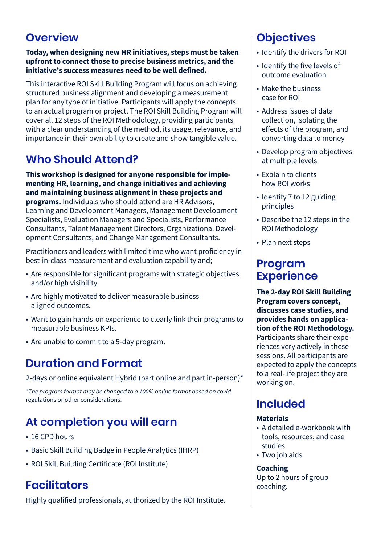## **Overview**

#### **Today, when designing new HR initiatives, steps must be taken upfront to connect those to precise business metrics, and the initiative's success measures need to be well defined.**

This interactive ROI Skill Building Program will focus on achieving structured business alignment and developing a measurement plan for any type of initiative. Participants will apply the concepts to an actual program or project. The ROI Skill Building Program will cover all 12 steps of the ROI Methodology, providing participants with a clear understanding of the method, its usage, relevance, and importance in their own ability to create and show tangible value.

## **Who Should Attend?**

**This workshop is designed for anyone responsible for implementing HR, learning, and change initiatives and achieving and maintaining business alignment in these projects and programs.** Individuals who should attend are HR Advisors, Learning and Development Managers, Management Development Specialists, Evaluation Managers and Specialists, Performance Consultants, Talent Management Directors, Organizational Development Consultants, and Change Management Consultants.

Practitioners and leaders with limited time who want proficiency in best-in-class measurement and evaluation capability and;

- Are responsible for significant programs with strategic objectives and/or high visibility.
- Are highly motivated to deliver measurable businessaligned outcomes.
- Want to gain hands-on experience to clearly link their programs to measurable business KPIs.
- Are unable to commit to a 5-day program.

## **Duration and Format**

2-days or online equivalent Hybrid (part online and part in-person)\*

*\*The program format may be changed to a 100% online format based on covid*  regulations or other considerations.

# **At completion you will earn**

- 16 CPD hours
- Basic Skill Building Badge in People Analytics (IHRP)
- ROI Skill Building Certificate (ROI Institute)

## **Facilitators**

Highly qualified professionals, authorized by the ROI Institute.

# **Objectives**

- Identify the drivers for ROI
- Identify the five levels of outcome evaluation
- Make the business case for ROI
- Address issues of data collection, isolating the effects of the program, and converting data to money
- Develop program objectives at multiple levels
- Explain to clients how ROI works
- Identify 7 to 12 guiding principles
- Describe the 12 steps in the ROI Methodology
- Plan next steps

## **Program Experience**

**The 2-day ROI Skill Building Program covers concept, discusses case studies, and provides hands on application of the ROI Methodology.**  Participants share their experiences very actively in these sessions. All participants are expected to apply the concepts to a real-life project they are working on.

# **Included**

### **Materials**

- A detailed e-workbook with tools, resources, and case studies
- Two job aids

### **Coaching**

Up to 2 hours of group coaching.